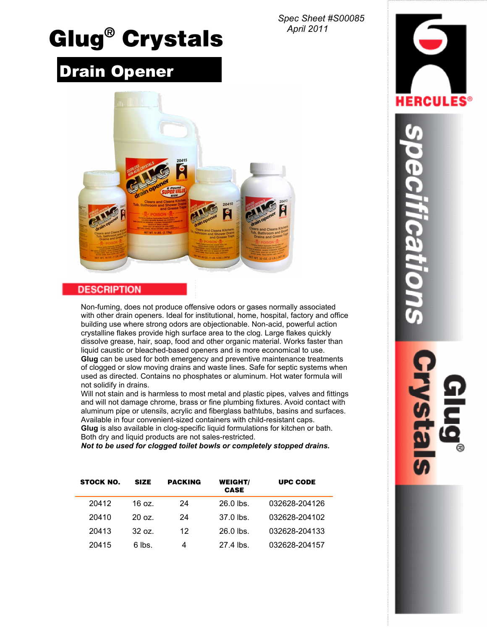*Spec Sheet #S00085 April 2011*

# **Glug® Crystals**

# Drain Opener



# **DESCRIPTION**

Non-fuming, does not produce offensive odors or gases normally associated with other drain openers. Ideal for institutional, home, hospital, factory and office building use where strong odors are objectionable. Non-acid, powerful action crystalline flakes provide high surface area to the clog. Large flakes quickly dissolve grease, hair, soap, food and other organic material. Works faster than liquid caustic or bleached-based openers and is more economical to use. **Glug** can be used for both emergency and preventive maintenance treatments of clogged or slow moving drains and waste lines. Safe for septic systems when used as directed. Contains no phosphates or aluminum. Hot water formula will not solidify in drains.

Will not stain and is harmless to most metal and plastic pipes, valves and fittings and will not damage chrome, brass or fine plumbing fixtures. Avoid contact with aluminum pipe or utensils, acrylic and fiberglass bathtubs, basins and surfaces. Available in four convenient-sized containers with child-resistant caps. **Glug** is also available in clog-specific liquid formulations for kitchen or bath. Both dry and liquid products are not sales-restricted.

*Not to be used for clogged toilet bowls or completely stopped drains.*

| <b>STOCK NO.</b> | <b>SIZE</b>     | <b>PACKING</b> | <b>WEIGHT/</b><br><b>CASE</b> | <b>UPC CODE</b> |
|------------------|-----------------|----------------|-------------------------------|-----------------|
| 20412            | 16 oz.          | 24             | $26.0$ lbs.                   | 032628-204126   |
| 20410            | $20 \text{ oz}$ | 24             | $37.0$ lbs.                   | 032628-204102   |
| 20413            | $32 \text{ oz}$ | 12             | $26.0$ lbs.                   | 032628-204133   |
| 20415            | 6 lbs.          | 4              | 27.4 lbs.                     | 032628-204157   |



ification